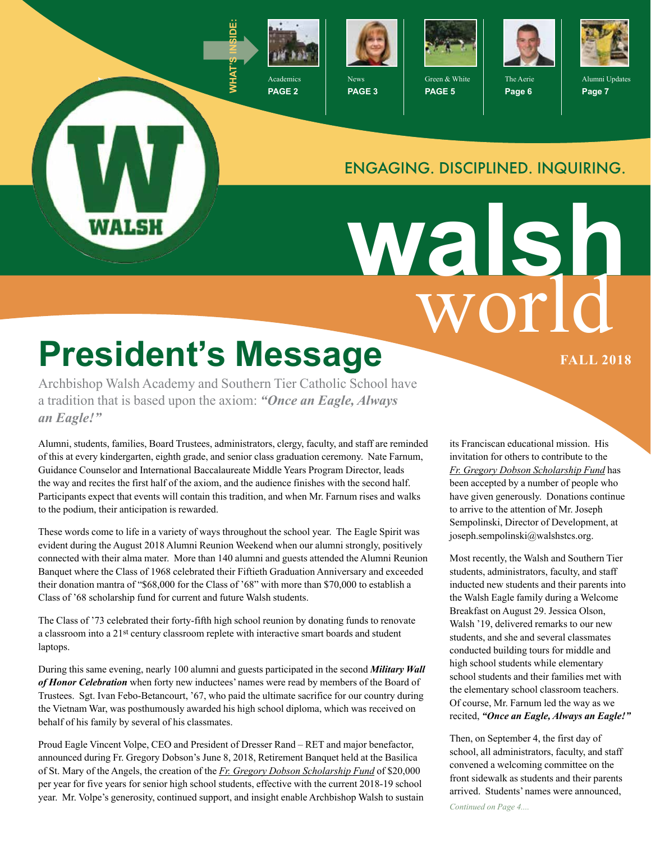



**PAGE 3**



Green & White **PAGE 5**



The Aerie **Page 6**



Alumni Updates **Page 7**

#### ENGAGING. DISCIPLINED. INQUIRING.

world **walsh**

# **President's Message FALL 2018**

WALSH

Archbishop Walsh Academy and Southern Tier Catholic School have a tradition that is based upon the axiom: *"Once an Eagle, Always an Eagle!"*

Alumni, students, families, Board Trustees, administrators, clergy, faculty, and staff are reminded of this at every kindergarten, eighth grade, and senior class graduation ceremony. Nate Farnum, Guidance Counselor and International Baccalaureate Middle Years Program Director, leads the way and recites the first half of the axiom, and the audience finishes with the second half. Participants expect that events will contain this tradition, and when Mr. Farnum rises and walks to the podium, their anticipation is rewarded.

These words come to life in a variety of ways throughout the school year. The Eagle Spirit was evident during the August 2018 Alumni Reunion Weekend when our alumni strongly, positively connected with their alma mater. More than 140 alumni and guests attended the Alumni Reunion Banquet where the Class of 1968 celebrated their Fiftieth Graduation Anniversary and exceeded their donation mantra of "\$68,000 for the Class of '68" with more than \$70,000 to establish a Class of '68 scholarship fund for current and future Walsh students.

The Class of '73 celebrated their forty-fifth high school reunion by donating funds to renovate a classroom into a 21st century classroom replete with interactive smart boards and student laptops.

During this same evening, nearly 100 alumni and guests participated in the second *Military Wall of Honor Celebration* when forty new inductees' names were read by members of the Board of Trustees. Sgt. Ivan Febo-Betancourt, '67, who paid the ultimate sacrifice for our country during the Vietnam War, was posthumously awarded his high school diploma, which was received on behalf of his family by several of his classmates.

Proud Eagle Vincent Volpe, CEO and President of Dresser Rand – RET and major benefactor, announced during Fr. Gregory Dobson's June 8, 2018, Retirement Banquet held at the Basilica of St. Mary of the Angels, the creation of the *Fr. Gregory Dobson Scholarship Fund* of \$20,000 per year for five years for senior high school students, effective with the current 2018-19 school year. Mr. Volpe's generosity, continued support, and insight enable Archbishop Walsh to sustain

its Franciscan educational mission. His invitation for others to contribute to the *Fr. Gregory Dobson Scholarship Fund* has been accepted by a number of people who have given generously. Donations continue to arrive to the attention of Mr. Joseph Sempolinski, Director of Development, at joseph.sempolinski@walshstcs.org.

Most recently, the Walsh and Southern Tier students, administrators, faculty, and staff inducted new students and their parents into the Walsh Eagle family during a Welcome Breakfast on August 29. Jessica Olson, Walsh '19, delivered remarks to our new students, and she and several classmates conducted building tours for middle and high school students while elementary school students and their families met with the elementary school classroom teachers. Of course, Mr. Farnum led the way as we recited, *"Once an Eagle, Always an Eagle!"*

Then, on September 4, the first day of school, all administrators, faculty, and staff convened a welcoming committee on the front sidewalk as students and their parents arrived. Students' names were announced,

*Continued on Page 4....*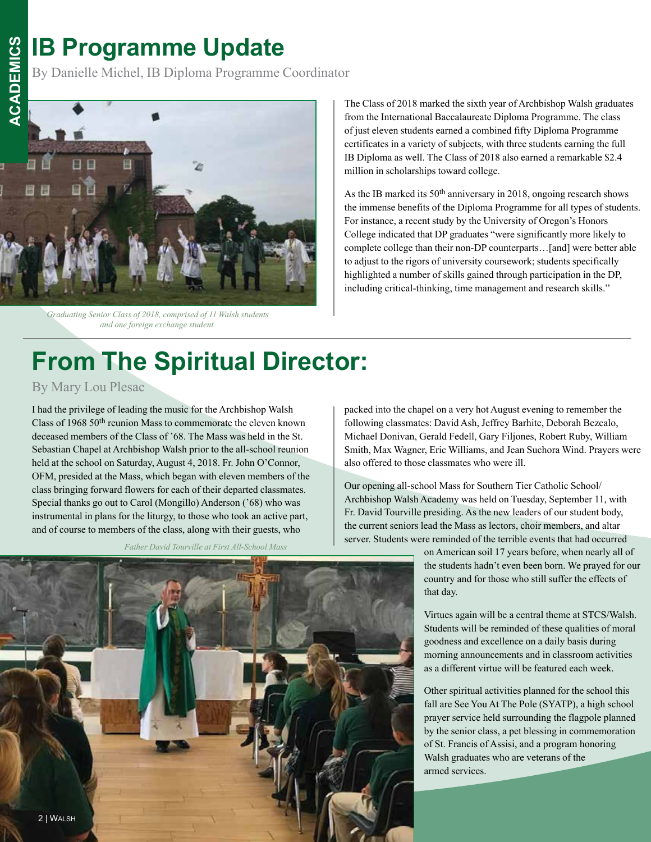#### **IB Programme Update**

By Danielle Michel, IB Diploma Programme Coordinator



*Graduating Senior Class of 2018, comprised of 11 Walsh students and one foreign exchange student.*

The Class of 2018 marked the sixth year of Archbishop Walsh graduates from the International Baccalaureate Diploma Programme. The class of just eleven students earned a combined fifty Diploma Programme certificates in a variety of subjects, with three students earning the full IB Diploma as well. The Class of 2018 also earned a remarkable \$2.4 million in scholarships toward college.

As the IB marked its 50<sup>th</sup> anniversary in 2018, ongoing research shows the immense benefits of the Diploma Programme for all types of students. For instance, a recent study by the University of Oregon's Honors College indicated that DP graduates "were significantly more likely to complete college than their non-DP counterparts…[and] were better able to adjust to the rigors of university coursework; students specifically highlighted a number of skills gained through participation in the DP, including critical-thinking, time management and research skills."

#### **From The Spiritual Director:**

#### By Mary Lou Plesac

I had the privilege of leading the music for the Archbishop Walsh Class of 1968 50th reunion Mass to commemorate the eleven known deceased members of the Class of '68. The Mass was held in the St. Sebastian Chapel at Archbishop Walsh prior to the all-school reunion held at the school on Saturday, August 4, 2018. Fr. John O'Connor, OFM, presided at the Mass, which began with eleven members of the class bringing forward flowers for each of their departed classmates. Special thanks go out to Carol (Mongillo) Anderson ('68) who was instrumental in plans for the liturgy, to those who took an active part, and of course to members of the class, along with their guests, who

*Father David Tourville at First All-School Mass*



packed into the chapel on a very hot August evening to remember the following classmates: David Ash, Jeffrey Barhite, Deborah Bezcalo, Michael Donivan, Gerald Fedell, Gary Filjones, Robert Ruby, William Smith, Max Wagner, Eric Williams, and Jean Suchora Wind. Prayers were also offered to those classmates who were ill.

Our opening all-school Mass for Southern Tier Catholic School/ Archbishop Walsh Academy was held on Tuesday, September 11, with Fr. David Tourville presiding. As the new leaders of our student body, the current seniors lead the Mass as lectors, choir members, and altar server. Students were reminded of the terrible events that had occurred

on American soil 17 years before, when nearly all of the students hadn't even been born. We prayed for our country and for those who still suffer the effects of that day.

Virtues again will be a central theme at STCS/Walsh. Students will be reminded of these qualities of moral goodness and excellence on a daily basis during morning announcements and in classroom activities as a different virtue will be featured each week.

Other spiritual activities planned for the school this fall are See You At The Pole (SYATP), a high school prayer service held surrounding the flagpole planned by the senior class, a pet blessing in commemoration of St. Francis of Assisi, and a program honoring Walsh graduates who are veterans of the armed services.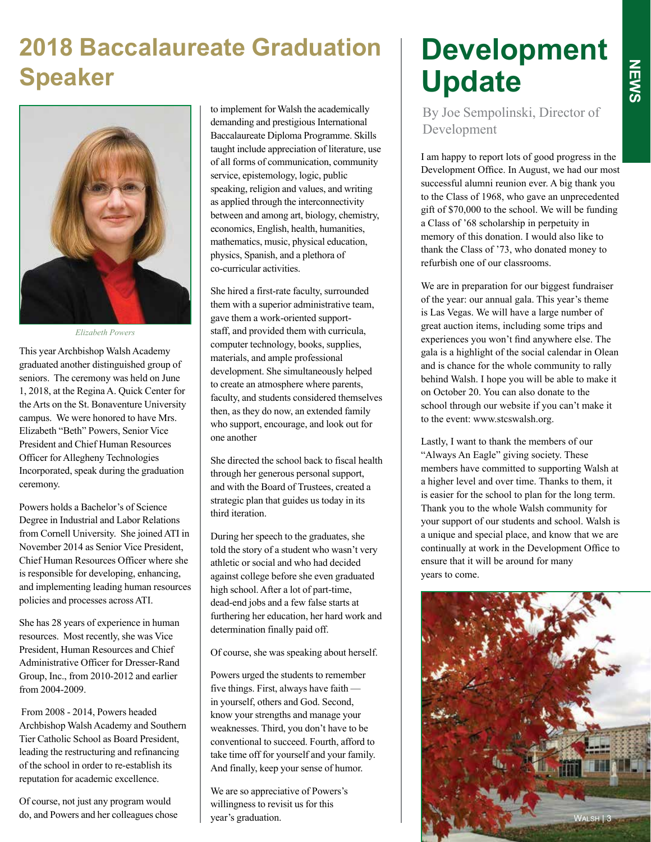# **NEWS**

#### **2018 Baccalaureate Graduation Speaker**



*Elizabeth Powers*

This year Archbishop Walsh Academy graduated another distinguished group of seniors. The ceremony was held on June 1, 2018, at the Regina A. Quick Center for the Arts on the St. Bonaventure University campus. We were honored to have Mrs. Elizabeth "Beth" Powers, Senior Vice President and Chief Human Resources Officer for Allegheny Technologies Incorporated, speak during the graduation ceremony.

Powers holds a Bachelor's of Science Degree in Industrial and Labor Relations from Cornell University. She joined ATI in November 2014 as Senior Vice President, Chief Human Resources Officer where she is responsible for developing, enhancing, and implementing leading human resources policies and processes across ATI.

She has 28 years of experience in human resources. Most recently, she was Vice President, Human Resources and Chief Administrative Officer for Dresser-Rand Group, Inc., from 2010-2012 and earlier from 2004-2009.

 From 2008 - 2014, Powers headed Archbishop Walsh Academy and Southern Tier Catholic School as Board President, leading the restructuring and refinancing of the school in order to re-establish its reputation for academic excellence.

Of course, not just any program would

to implement for Walsh the academically demanding and prestigious International Baccalaureate Diploma Programme. Skills taught include appreciation of literature, use of all forms of communication, community service, epistemology, logic, public speaking, religion and values, and writing as applied through the interconnectivity between and among art, biology, chemistry, economics, English, health, humanities, mathematics, music, physical education, physics, Spanish, and a plethora of co-curricular activities.

She hired a first-rate faculty, surrounded them with a superior administrative team, gave them a work-oriented supportstaff, and provided them with curricula, computer technology, books, supplies, materials, and ample professional development. She simultaneously helped to create an atmosphere where parents, faculty, and students considered themselves then, as they do now, an extended family who support, encourage, and look out for one another

She directed the school back to fiscal health through her generous personal support, and with the Board of Trustees, created a strategic plan that guides us today in its third iteration.

During her speech to the graduates, she told the story of a student who wasn't very athletic or social and who had decided against college before she even graduated high school. After a lot of part-time, dead-end jobs and a few false starts at furthering her education, her hard work and determination finally paid off.

Of course, she was speaking about herself.

Powers urged the students to remember five things. First, always have faith in yourself, others and God. Second, know your strengths and manage your weaknesses. Third, you don't have to be conventional to succeed. Fourth, afford to take time off for yourself and your family. And finally, keep your sense of humor.

We are so appreciative of Powers's willingness to revisit us for this year's graduation.

### **Development Update**

By Joe Sempolinski, Director of Development

I am happy to report lots of good progress in the Development Office. In August, we had our most successful alumni reunion ever. A big thank you to the Class of 1968, who gave an unprecedented gift of \$70,000 to the school. We will be funding a Class of '68 scholarship in perpetuity in memory of this donation. I would also like to thank the Class of '73, who donated money to refurbish one of our classrooms.

We are in preparation for our biggest fundraiser of the year: our annual gala. This year's theme is Las Vegas. We will have a large number of great auction items, including some trips and experiences you won't find anywhere else. The gala is a highlight of the social calendar in Olean and is chance for the whole community to rally behind Walsh. I hope you will be able to make it on October 20. You can also donate to the school through our website if you can't make it to the event: www.stcswalsh.org.

Lastly, I want to thank the members of our "Always An Eagle" giving society. These members have committed to supporting Walsh at a higher level and over time. Thanks to them, it is easier for the school to plan for the long term. Thank you to the whole Walsh community for your support of our students and school. Walsh is a unique and special place, and know that we are continually at work in the Development Office to ensure that it will be around for many years to come.

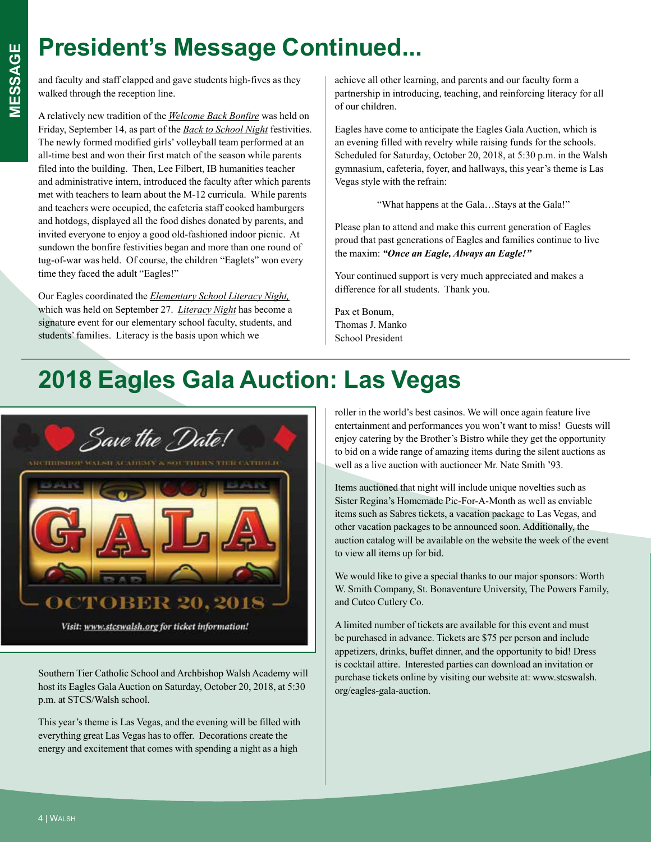#### **President's Message Continued...**

and faculty and staff clapped and gave students high-fives as they walked through the reception line.

A relatively new tradition of the *Welcome Back Bonfire* was held on Friday, September 14, as part of the *Back to School Night* festivities. The newly formed modified girls' volleyball team performed at an all-time best and won their first match of the season while parents filed into the building. Then, Lee Filbert, IB humanities teacher and administrative intern, introduced the faculty after which parents met with teachers to learn about the M-12 curricula. While parents and teachers were occupied, the cafeteria staff cooked hamburgers and hotdogs, displayed all the food dishes donated by parents, and invited everyone to enjoy a good old-fashioned indoor picnic. At sundown the bonfire festivities began and more than one round of tug-of-war was held. Of course, the children "Eaglets" won every time they faced the adult "Eagles!"

Our Eagles coordinated the *Elementary School Literacy Night,* which was held on September 27. *Literacy Night* has become a signature event for our elementary school faculty, students, and students' families. Literacy is the basis upon which we

achieve all other learning, and parents and our faculty form a partnership in introducing, teaching, and reinforcing literacy for all of our children.

Eagles have come to anticipate the Eagles Gala Auction, which is an evening filled with revelry while raising funds for the schools. Scheduled for Saturday, October 20, 2018, at 5:30 p.m. in the Walsh gymnasium, cafeteria, foyer, and hallways, this year's theme is Las Vegas style with the refrain:

"What happens at the Gala…Stays at the Gala!"

Please plan to attend and make this current generation of Eagles proud that past generations of Eagles and families continue to live the maxim: *"Once an Eagle, Always an Eagle!"*

Your continued support is very much appreciated and makes a difference for all students. Thank you.

Pax et Bonum, Thomas J. Manko School President

#### **2018 Eagles Gala Auction: Las Vegas**



Southern Tier Catholic School and Archbishop Walsh Academy will host its Eagles Gala Auction on Saturday, October 20, 2018, at 5:30 p.m. at STCS/Walsh school.

This year's theme is Las Vegas, and the evening will be filled with everything great Las Vegas has to offer. Decorations create the energy and excitement that comes with spending a night as a high

roller in the world's best casinos. We will once again feature live entertainment and performances you won't want to miss! Guests will enjoy catering by the Brother's Bistro while they get the opportunity to bid on a wide range of amazing items during the silent auctions as well as a live auction with auctioneer Mr. Nate Smith '93.

Items auctioned that night will include unique novelties such as Sister Regina's Homemade Pie-For-A-Month as well as enviable items such as Sabres tickets, a vacation package to Las Vegas, and other vacation packages to be announced soon. Additionally, the auction catalog will be available on the website the week of the event to view all items up for bid.

We would like to give a special thanks to our major sponsors: Worth W. Smith Company, St. Bonaventure University, The Powers Family, and Cutco Cutlery Co.

A limited number of tickets are available for this event and must be purchased in advance. Tickets are \$75 per person and include appetizers, drinks, buffet dinner, and the opportunity to bid! Dress is cocktail attire. Interested parties can download an invitation or purchase tickets online by visiting our website at: www.stcswalsh. org/eagles-gala-auction.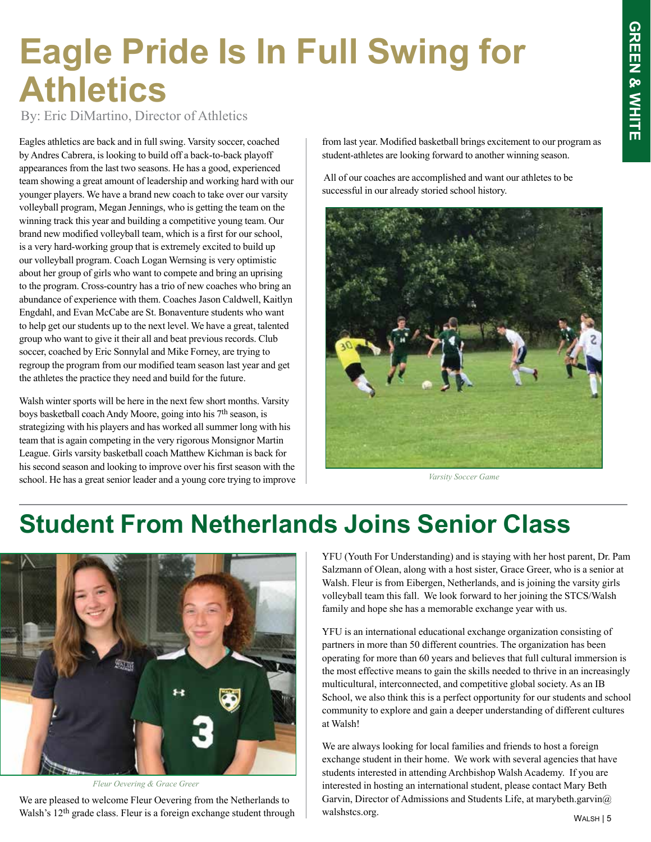## **Eagle Pride Is In Full Swing for Athletics**

By: Eric DiMartino, Director of Athletics

Eagles athletics are back and in full swing. Varsity soccer, coached by Andres Cabrera, is looking to build off a back-to-back playoff appearances from the last two seasons. He has a good, experienced team showing a great amount of leadership and working hard with our younger players. We have a brand new coach to take over our varsity volleyball program, Megan Jennings, who is getting the team on the winning track this year and building a competitive young team. Our brand new modified volleyball team, which is a first for our school, is a very hard-working group that is extremely excited to build up our volleyball program. Coach Logan Wernsing is very optimistic about her group of girls who want to compete and bring an uprising to the program. Cross-country has a trio of new coaches who bring an abundance of experience with them. Coaches Jason Caldwell, Kaitlyn Engdahl, and Evan McCabe are St. Bonaventure students who want to help get our students up to the next level. We have a great, talented group who want to give it their all and beat previous records. Club soccer, coached by Eric Sonnylal and Mike Forney, are trying to regroup the program from our modified team season last year and get the athletes the practice they need and build for the future.

Walsh winter sports will be here in the next few short months. Varsity boys basketball coach Andy Moore, going into his 7<sup>th</sup> season, is strategizing with his players and has worked all summer long with his team that is again competing in the very rigorous Monsignor Martin League. Girls varsity basketball coach Matthew Kichman is back for his second season and looking to improve over his first season with the school. He has a great senior leader and a young core trying to improve

from last year. Modified basketball brings excitement to our program as student-athletes are looking forward to another winning season.

 All of our coaches are accomplished and want our athletes to be successful in our already storied school history.



*Varsity Soccer Game*

#### **Student From Netherlands Joins Senior Class**



*Fleur Oevering & Grace Greer*

We are pleased to welcome Fleur Oevering from the Netherlands to Walsh's 12<sup>th</sup> grade class. Fleur is a foreign exchange student through

YFU (Youth For Understanding) and is staying with her host parent, Dr. Pam Salzmann of Olean, along with a host sister, Grace Greer, who is a senior at Walsh. Fleur is from Eibergen, Netherlands, and is joining the varsity girls volleyball team this fall. We look forward to her joining the STCS/Walsh family and hope she has a memorable exchange year with us.

YFU is an international educational exchange organization consisting of partners in more than 50 different countries. The organization has been operating for more than 60 years and believes that full cultural immersion is the most effective means to gain the skills needed to thrive in an increasingly multicultural, interconnected, and competitive global society. As an IB School, we also think this is a perfect opportunity for our students and school community to explore and gain a deeper understanding of different cultures at Walsh!

We are always looking for local families and friends to host a foreign exchange student in their home. We work with several agencies that have students interested in attending Archbishop Walsh Academy. If you are interested in hosting an international student, please contact Mary Beth Garvin, Director of Admissions and Students Life, at marybeth.garvin@ walshstcs.org.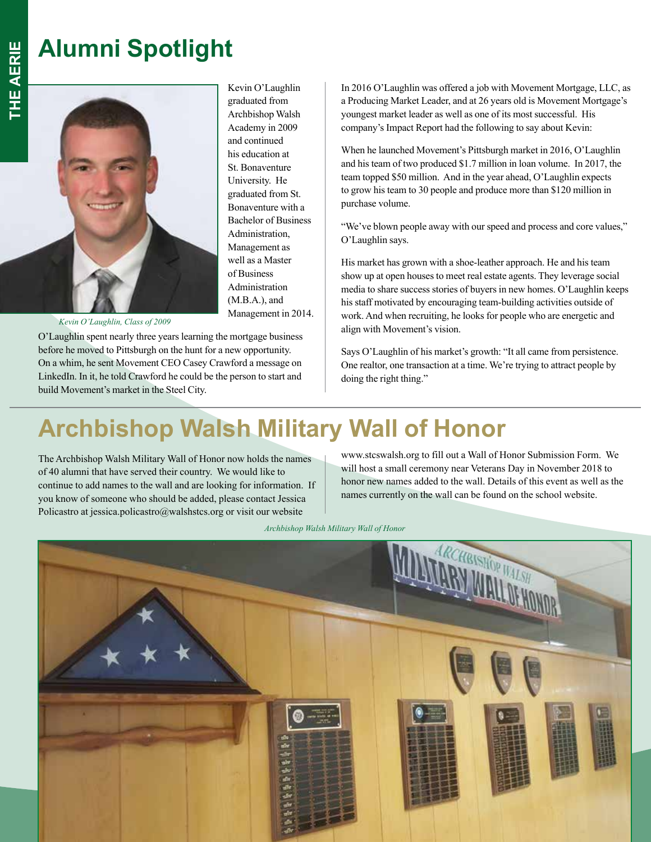#### **Alumni Spotlight**



Kevin O'Laughlin graduated from Archbishop Walsh Academy in 2009 and continued his education at St. Bonaventure University. He graduated from St. Bonaventure with a Bachelor of Business Administration, Management as well as a Master of Business Administration (M.B.A.), and Management in 2014.

*Kevin O'Laughlin, Class of 2009*

O'Laughlin spent nearly three years learning the mortgage business before he moved to Pittsburgh on the hunt for a new opportunity. On a whim, he sent Movement CEO Casey Crawford a message on LinkedIn. In it, he told Crawford he could be the person to start and build Movement's market in the Steel City.

In 2016 O'Laughlin was offered a job with Movement Mortgage, LLC, as a Producing Market Leader, and at 26 years old is Movement Mortgage's youngest market leader as well as one of its most successful. His company's Impact Report had the following to say about Kevin:

When he launched Movement's Pittsburgh market in 2016, O'Laughlin and his team of two produced \$1.7 million in loan volume. In 2017, the team topped \$50 million. And in the year ahead, O'Laughlin expects to grow his team to 30 people and produce more than \$120 million in purchase volume.

"We've blown people away with our speed and process and core values," O'Laughlin says.

His market has grown with a shoe-leather approach. He and his team show up at open houses to meet real estate agents. They leverage social media to share success stories of buyers in new homes. O'Laughlin keeps his staff motivated by encouraging team-building activities outside of work. And when recruiting, he looks for people who are energetic and align with Movement's vision.

Says O'Laughlin of his market's growth: "It all came from persistence. One realtor, one transaction at a time. We're trying to attract people by doing the right thing."

#### **Archbishop Walsh Military Wall of Honor**

The Archbishop Walsh Military Wall of Honor now holds the names of 40 alumni that have served their country. We would like to continue to add names to the wall and are looking for information. If you know of someone who should be added, please contact Jessica Policastro at jessica.policastro@walshstcs.org or visit our website

www.stcswalsh.org to fill out a Wall of Honor Submission Form. We will host a small ceremony near Veterans Day in November 2018 to honor new names added to the wall. Details of this event as well as the names currently on the wall can be found on the school website.

*Archbishop Walsh Military Wall of Honor*

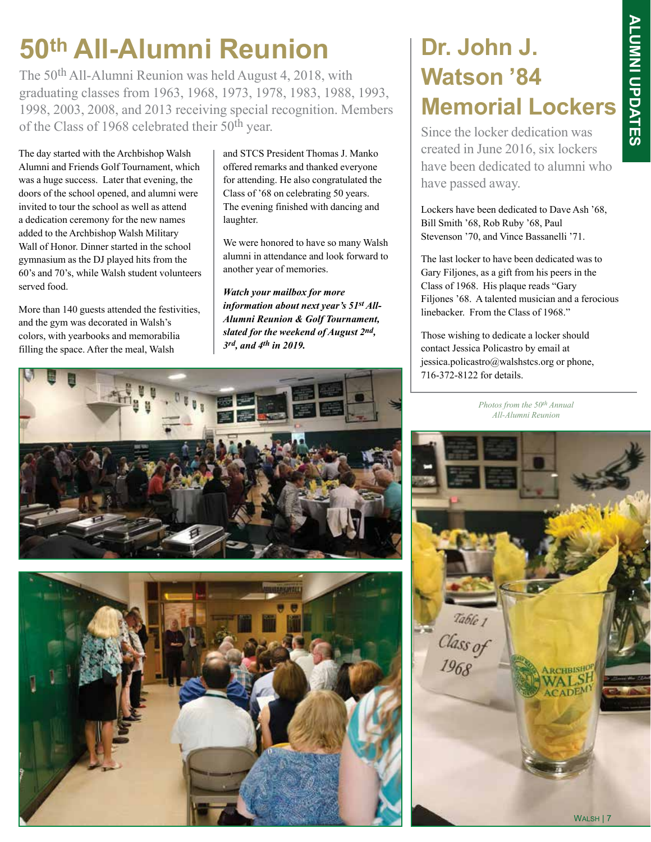## **50th All-Alumni Reunion**

The 50<sup>th</sup> All-Alumni Reunion was held August 4, 2018, with graduating classes from 1963, 1968, 1973, 1978, 1983, 1988, 1993, 1998, 2003, 2008, and 2013 receiving special recognition. Members of the Class of 1968 celebrated their 50<sup>th</sup> year.

The day started with the Archbishop Walsh Alumni and Friends Golf Tournament, which was a huge success. Later that evening, the doors of the school opened, and alumni were invited to tour the school as well as attend a dedication ceremony for the new names added to the Archbishop Walsh Military Wall of Honor. Dinner started in the school gymnasium as the DJ played hits from the 60's and 70's, while Walsh student volunteers served food.

More than 140 guests attended the festivities, and the gym was decorated in Walsh's colors, with yearbooks and memorabilia filling the space. After the meal, Walsh

and STCS President Thomas J. Manko offered remarks and thanked everyone for attending. He also congratulated the Class of '68 on celebrating 50 years. The evening finished with dancing and laughter.

We were honored to have so many Walsh alumni in attendance and look forward to another year of memories.

*Watch your mailbox for more information about next year's 51st All-Alumni Reunion & Golf Tournament, slated for the weekend of August 2nd, 3rd, and 4th in 2019.*

#### **Dr. John J. Watson '84 Memorial Lockers**

Since the locker dedication was created in June 2016, six lockers have been dedicated to alumni who have passed away.

Lockers have been dedicated to Dave Ash '68, Bill Smith '68, Rob Ruby '68, Paul Stevenson '70, and Vince Bassanelli '71.

The last locker to have been dedicated was to Gary Filjones, as a gift from his peers in the Class of 1968. His plaque reads "Gary Filjones '68. A talented musician and a ferocious linebacker. From the Class of 1968."

Those wishing to dedicate a locker should contact Jessica Policastro by email at jessica.policastro@walshstcs.org or phone, 716-372-8122 for details.





*Photos from the 50th Annual All-Alumni Reunion*